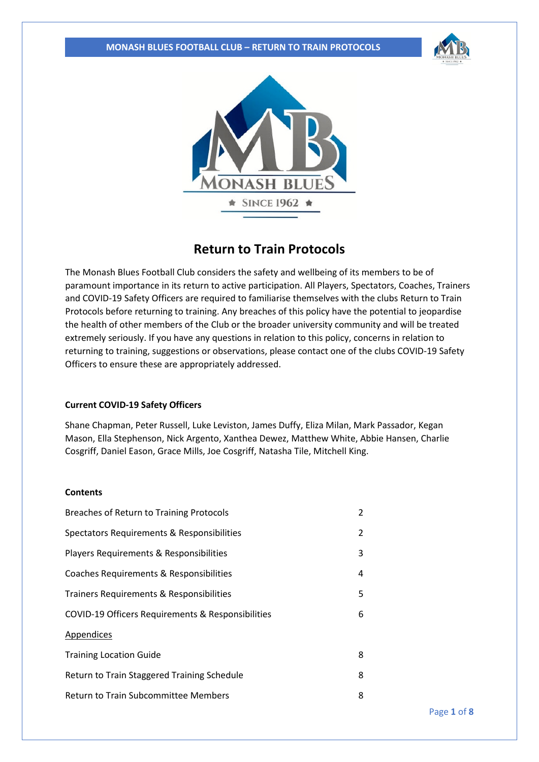#### **MONASH BLUES FOOTBALL CLUB – RETURN TO TRAIN PROTOCOLS**





# **Return to Train Protocols**

The Monash Blues Football Club considers the safety and wellbeing of its members to be of paramount importance in its return to active participation. All Players, Spectators, Coaches, Trainers and COVID-19 Safety Officers are required to familiarise themselves with the clubs Return to Train Protocols before returning to training. Any breaches of this policy have the potential to jeopardise the health of other members of the Club or the broader university community and will be treated extremely seriously. If you have any questions in relation to this policy, concerns in relation to returning to training, suggestions or observations, please contact one of the clubs COVID-19 Safety Officers to ensure these are appropriately addressed.

#### **Current COVID-19 Safety Officers**

Shane Chapman, Peter Russell, Luke Leviston, James Duffy, Eliza Milan, Mark Passador, Kegan Mason, Ella Stephenson, Nick Argento, Xanthea Dewez, Matthew White, Abbie Hansen, Charlie Cosgriff, Daniel Eason, Grace Mills, Joe Cosgriff, Natasha Tile, Mitchell King.

### **Contents**

| Breaches of Return to Training Protocols          | $\overline{2}$ |  |  |
|---------------------------------------------------|----------------|--|--|
| Spectators Requirements & Responsibilities        | 2              |  |  |
| Players Requirements & Responsibilities           | 3              |  |  |
| Coaches Requirements & Responsibilities           | 4              |  |  |
| Trainers Requirements & Responsibilities          | 5              |  |  |
| COVID-19 Officers Requirements & Responsibilities | 6              |  |  |
| <b>Appendices</b>                                 |                |  |  |
| <b>Training Location Guide</b>                    | 8              |  |  |
| Return to Train Staggered Training Schedule       |                |  |  |
| Return to Train Subcommittee Members              | 8              |  |  |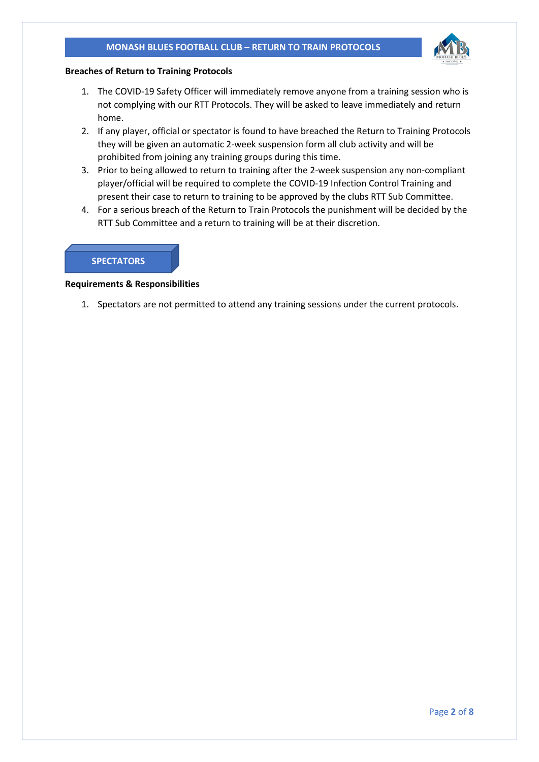#### **MONASH BLUES FOOTBALL CLUB – RETURN TO TRAIN PROTOCOLS**



#### **Breaches of Return to Training Protocols**

- 1. The COVID-19 Safety Officer will immediately remove anyone from a training session who is not complying with our RTT Protocols. They will be asked to leave immediately and return home.
- 2. If any player, official or spectator is found to have breached the Return to Training Protocols they will be given an automatic 2-week suspension form all club activity and will be prohibited from joining any training groups during this time.
- 3. Prior to being allowed to return to training after the 2-week suspension any non-compliant player/official will be required to complete the COVID-19 Infection Control Training and present their case to return to training to be approved by the clubs RTT Sub Committee.
- 4. For a serious breach of the Return to Train Protocols the punishment will be decided by the RTT Sub Committee and a return to training will be at their discretion.

## **SPECTATORS**

**Requirements & Responsibilities**

1. Spectators are not permitted to attend any training sessions under the current protocols.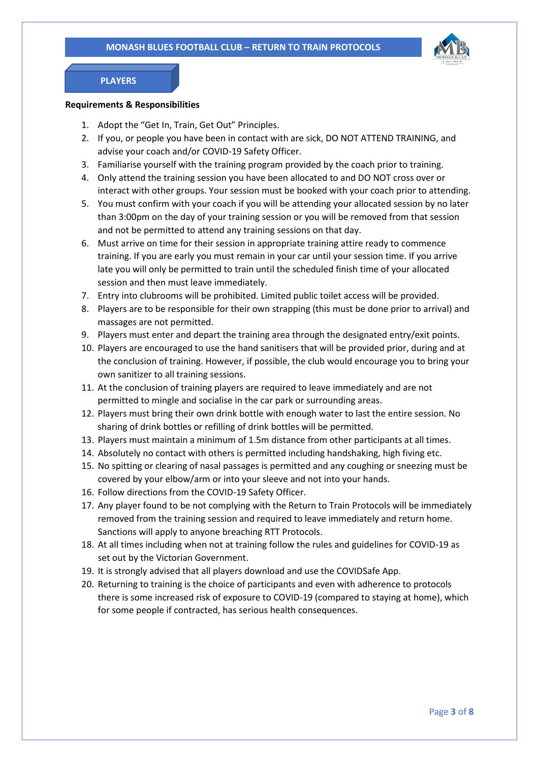

## **PLAYERS**

#### **Requirements & Responsibilities**

- 1. Adopt the "Get In, Train, Get Out" Principles.
- 2. If you, or people you have been in contact with are sick, DO NOT ATTEND TRAINING, and advise your coach and/or COVID-19 Safety Officer.
- 3. Familiarise yourself with the training program provided by the coach prior to training.
- 4. Only attend the training session you have been allocated to and DO NOT cross over or interact with other groups. Your session must be booked with your coach prior to attending.
- 5. You must confirm with your coach if you will be attending your allocated session by no later than 3:00pm on the day of your training session or you will be removed from that session and not be permitted to attend any training sessions on that day.
- 6. Must arrive on time for their session in appropriate training attire ready to commence training. If you are early you must remain in your car until your session time. If you arrive late you will only be permitted to train until the scheduled finish time of your allocated session and then must leave immediately.
- 7. Entry into clubrooms will be prohibited. Limited public toilet access will be provided.
- 8. Players are to be responsible for their own strapping (this must be done prior to arrival) and massages are not permitted.
- 9. Players must enter and depart the training area through the designated entry/exit points.
- 10. Players are encouraged to use the hand sanitisers that will be provided prior, during and at the conclusion of training. However, if possible, the club would encourage you to bring your own sanitizer to all training sessions.
- 11. At the conclusion of training players are required to leave immediately and are not permitted to mingle and socialise in the car park or surrounding areas.
- 12. Players must bring their own drink bottle with enough water to last the entire session. No sharing of drink bottles or refilling of drink bottles will be permitted.
- 13. Players must maintain a minimum of 1.5m distance from other participants at all times.
- 14. Absolutely no contact with others is permitted including handshaking, high fiving etc.
- 15. No spitting or clearing of nasal passages is permitted and any coughing or sneezing must be covered by your elbow/arm or into your sleeve and not into your hands.
- 16. Follow directions from the COVID-19 Safety Officer.
- 17. Any player found to be not complying with the Return to Train Protocols will be immediately removed from the training session and required to leave immediately and return home. Sanctions will apply to anyone breaching RTT Protocols.
- 18. At all times including when not at training follow the rules and guidelines for COVID-19 as set out by the Victorian Government.
- 19. It is strongly advised that all players download and use the COVIDSafe App.
- 20. Returning to training is the choice of participants and even with adherence to protocols there is some increased risk of exposure to COVID-19 (compared to staying at home), which for some people if contracted, has serious health consequences.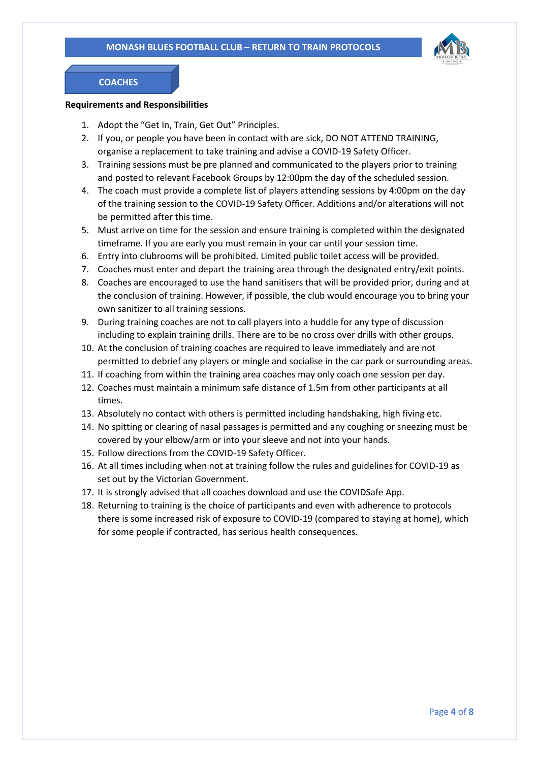

## **COACHES**

#### **Requirements and Responsibilities**

- 1. Adopt the "Get In, Train, Get Out" Principles.
- 2. If you, or people you have been in contact with are sick, DO NOT ATTEND TRAINING, organise a replacement to take training and advise a COVID-19 Safety Officer.
- 3. Training sessions must be pre planned and communicated to the players prior to training and posted to relevant Facebook Groups by 12:00pm the day of the scheduled session.
- 4. The coach must provide a complete list of players attending sessions by 4:00pm on the day of the training session to the COVID-19 Safety Officer. Additions and/or alterations will not be permitted after this time.
- 5. Must arrive on time for the session and ensure training is completed within the designated timeframe. If you are early you must remain in your car until your session time.
- 6. Entry into clubrooms will be prohibited. Limited public toilet access will be provided.
- 7. Coaches must enter and depart the training area through the designated entry/exit points.
- 8. Coaches are encouraged to use the hand sanitisers that will be provided prior, during and at the conclusion of training. However, if possible, the club would encourage you to bring your own sanitizer to all training sessions.
- 9. During training coaches are not to call players into a huddle for any type of discussion including to explain training drills. There are to be no cross over drills with other groups.
- 10. At the conclusion of training coaches are required to leave immediately and are not permitted to debrief any players or mingle and socialise in the car park or surrounding areas.
- 11. If coaching from within the training area coaches may only coach one session per day.
- 12. Coaches must maintain a minimum safe distance of 1.5m from other participants at all times.
- 13. Absolutely no contact with others is permitted including handshaking, high fiving etc.
- 14. No spitting or clearing of nasal passages is permitted and any coughing or sneezing must be covered by your elbow/arm or into your sleeve and not into your hands.
- 15. Follow directions from the COVID-19 Safety Officer.
- 16. At all times including when not at training follow the rules and guidelines for COVID-19 as set out by the Victorian Government.
- 17. It is strongly advised that all coaches download and use the COVIDSafe App.
- 18. Returning to training is the choice of participants and even with adherence to protocols there is some increased risk of exposure to COVID-19 (compared to staying at home), which for some people if contracted, has serious health consequences.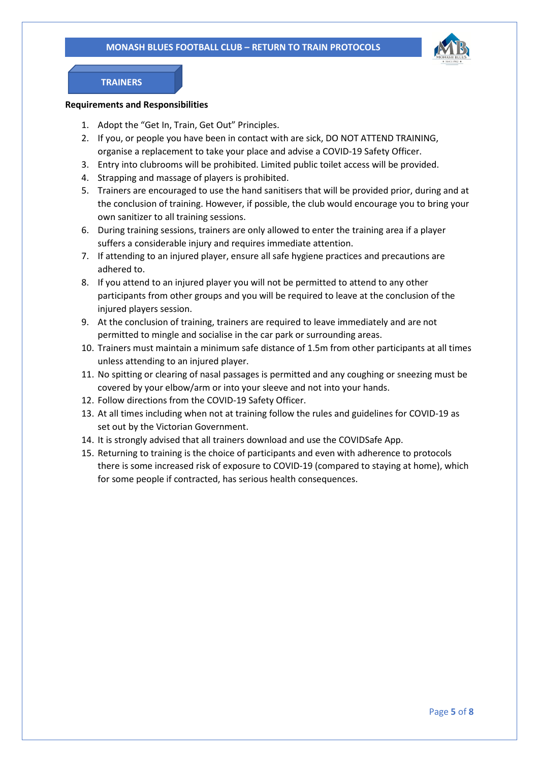

## **TRAINERS**

#### **Requirements and Responsibilities**

- 1. Adopt the "Get In, Train, Get Out" Principles.
- 2. If you, or people you have been in contact with are sick, DO NOT ATTEND TRAINING, organise a replacement to take your place and advise a COVID-19 Safety Officer.
- 3. Entry into clubrooms will be prohibited. Limited public toilet access will be provided.
- 4. Strapping and massage of players is prohibited.
- 5. Trainers are encouraged to use the hand sanitisers that will be provided prior, during and at the conclusion of training. However, if possible, the club would encourage you to bring your own sanitizer to all training sessions.
- 6. During training sessions, trainers are only allowed to enter the training area if a player suffers a considerable injury and requires immediate attention.
- 7. If attending to an injured player, ensure all safe hygiene practices and precautions are adhered to.
- 8. If you attend to an injured player you will not be permitted to attend to any other participants from other groups and you will be required to leave at the conclusion of the injured players session.
- 9. At the conclusion of training, trainers are required to leave immediately and are not permitted to mingle and socialise in the car park or surrounding areas.
- 10. Trainers must maintain a minimum safe distance of 1.5m from other participants at all times unless attending to an injured player.
- 11. No spitting or clearing of nasal passages is permitted and any coughing or sneezing must be covered by your elbow/arm or into your sleeve and not into your hands.
- 12. Follow directions from the COVID-19 Safety Officer.
- 13. At all times including when not at training follow the rules and guidelines for COVID-19 as set out by the Victorian Government.
- 14. It is strongly advised that all trainers download and use the COVIDSafe App.
- 15. Returning to training is the choice of participants and even with adherence to protocols there is some increased risk of exposure to COVID-19 (compared to staying at home), which for some people if contracted, has serious health consequences.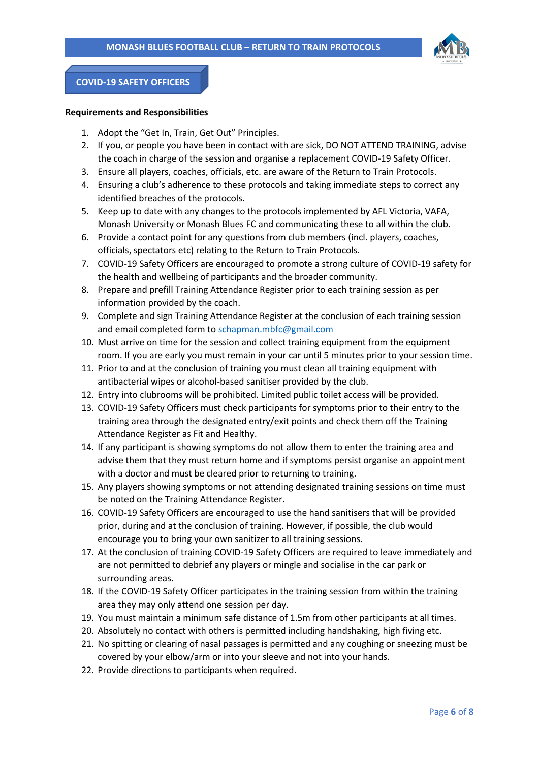

## **COVID-19 SAFETY OFFICERS**

#### **Requirements and Responsibilities**

- 1. Adopt the "Get In, Train, Get Out" Principles.
- 2. If you, or people you have been in contact with are sick, DO NOT ATTEND TRAINING, advise the coach in charge of the session and organise a replacement COVID-19 Safety Officer.
- 3. Ensure all players, coaches, officials, etc. are aware of the Return to Train Protocols.
- 4. Ensuring a club's adherence to these protocols and taking immediate steps to correct any identified breaches of the protocols.
- 5. Keep up to date with any changes to the protocols implemented by AFL Victoria, VAFA, Monash University or Monash Blues FC and communicating these to all within the club.
- 6. Provide a contact point for any questions from club members (incl. players, coaches, officials, spectators etc) relating to the Return to Train Protocols.
- 7. COVID-19 Safety Officers are encouraged to promote a strong culture of COVID-19 safety for the health and wellbeing of participants and the broader community.
- 8. Prepare and prefill Training Attendance Register prior to each training session as per information provided by the coach.
- 9. Complete and sign Training Attendance Register at the conclusion of each training session and email completed form to [schapman.mbfc@gmail.com](about:blank)
- 10. Must arrive on time for the session and collect training equipment from the equipment room. If you are early you must remain in your car until 5 minutes prior to your session time.
- 11. Prior to and at the conclusion of training you must clean all training equipment with antibacterial wipes or alcohol-based sanitiser provided by the club.
- 12. Entry into clubrooms will be prohibited. Limited public toilet access will be provided.
- 13. COVID-19 Safety Officers must check participants for symptoms prior to their entry to the training area through the designated entry/exit points and check them off the Training Attendance Register as Fit and Healthy.
- 14. If any participant is showing symptoms do not allow them to enter the training area and advise them that they must return home and if symptoms persist organise an appointment with a doctor and must be cleared prior to returning to training.
- 15. Any players showing symptoms or not attending designated training sessions on time must be noted on the Training Attendance Register.
- 16. COVID-19 Safety Officers are encouraged to use the hand sanitisers that will be provided prior, during and at the conclusion of training. However, if possible, the club would encourage you to bring your own sanitizer to all training sessions.
- 17. At the conclusion of training COVID-19 Safety Officers are required to leave immediately and are not permitted to debrief any players or mingle and socialise in the car park or surrounding areas.
- 18. If the COVID-19 Safety Officer participates in the training session from within the training area they may only attend one session per day.
- 19. You must maintain a minimum safe distance of 1.5m from other participants at all times.
- 20. Absolutely no contact with others is permitted including handshaking, high fiving etc.
- 21. No spitting or clearing of nasal passages is permitted and any coughing or sneezing must be covered by your elbow/arm or into your sleeve and not into your hands.
- 22. Provide directions to participants when required.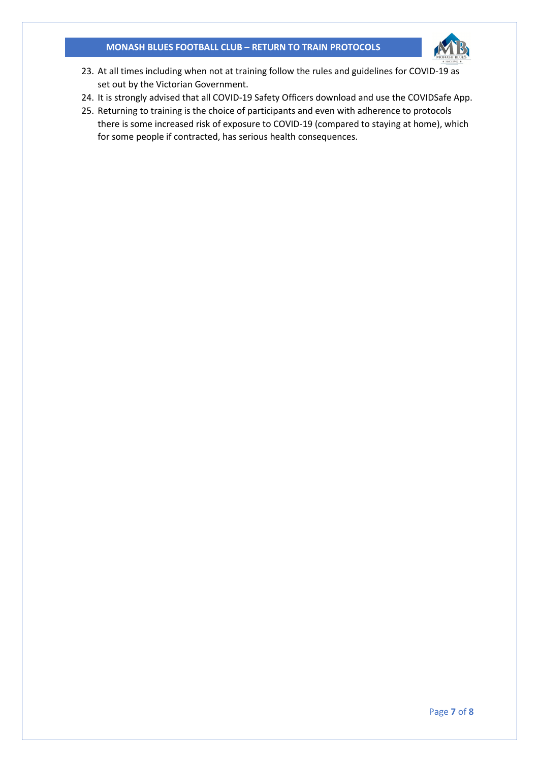## **MONASH BLUES FOOTBALL CLUB – RETURN TO TRAIN PROTOCOLS**



- 23. At all times including when not at training follow the rules and guidelines for COVID-19 as set out by the Victorian Government.
- 24. It is strongly advised that all COVID-19 Safety Officers download and use the COVIDSafe App.
- 25. Returning to training is the choice of participants and even with adherence to protocols there is some increased risk of exposure to COVID-19 (compared to staying at home), which for some people if contracted, has serious health consequences.